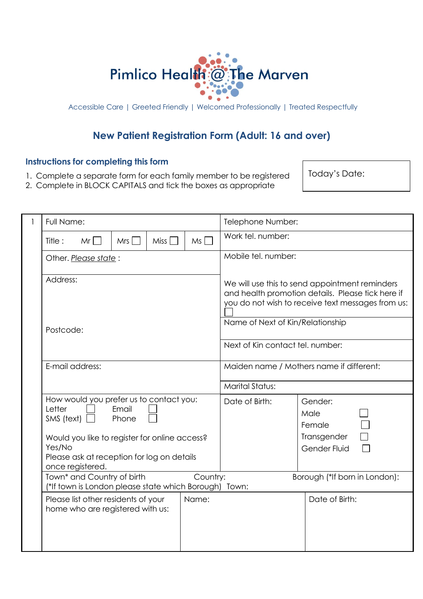

Accessible Care | Greeted Friendly | Welcomed Professionally | Treated Respectfully

## **New Patient Registration Form (Adult: 16 and over)**

### **Instructions for completing this form**

- 1. Complete a separate form for each family member to be registered
- 2. Complete in BLOCK CAPITALS and tick the boxes as appropriate

Today's Date:

| 1 | Full Name:                                                                                                                                                                                          |                |                   |          | Telephone Number:                                                                                                                                        |                                                          |  |  |
|---|-----------------------------------------------------------------------------------------------------------------------------------------------------------------------------------------------------|----------------|-------------------|----------|----------------------------------------------------------------------------------------------------------------------------------------------------------|----------------------------------------------------------|--|--|
|   | $Mr$    <br>Title:                                                                                                                                                                                  | Mrs I          | Miss <sup>1</sup> | Ms I     | Work tel. number:                                                                                                                                        |                                                          |  |  |
|   | Other. Please state:                                                                                                                                                                                |                |                   |          | Mobile tel. number:                                                                                                                                      |                                                          |  |  |
|   | Address:                                                                                                                                                                                            |                |                   |          | We will use this to send appointment reminders<br>and health promotion details. Please tick here if<br>you do not wish to receive text messages from us: |                                                          |  |  |
|   | Postcode:                                                                                                                                                                                           |                |                   |          | Name of Next of Kin/Relationship                                                                                                                         |                                                          |  |  |
|   |                                                                                                                                                                                                     |                |                   |          | Next of Kin contact tel. number:                                                                                                                         |                                                          |  |  |
|   | E-mail address:                                                                                                                                                                                     |                |                   |          | Maiden name / Mothers name if different:                                                                                                                 |                                                          |  |  |
|   |                                                                                                                                                                                                     |                |                   |          | <b>Marital Status:</b>                                                                                                                                   |                                                          |  |  |
|   | How would you prefer us to contact you:<br>Letter<br>SMS (text) $\Box$<br>Would you like to register for online access?<br>Yes/No<br>Please ask at reception for log on details<br>once registered. | Email<br>Phone |                   |          | Date of Birth:                                                                                                                                           | Gender:<br>Male<br>Female<br>Transgender<br>Gender Fluid |  |  |
|   | Town* and Country of birth<br>(*If town is London please state which Borough) Town:                                                                                                                 |                |                   | Country: |                                                                                                                                                          | Borough (*If born in London):                            |  |  |
|   | Please list other residents of your<br>home who are registered with us:                                                                                                                             |                |                   | Name:    |                                                                                                                                                          | Date of Birth:                                           |  |  |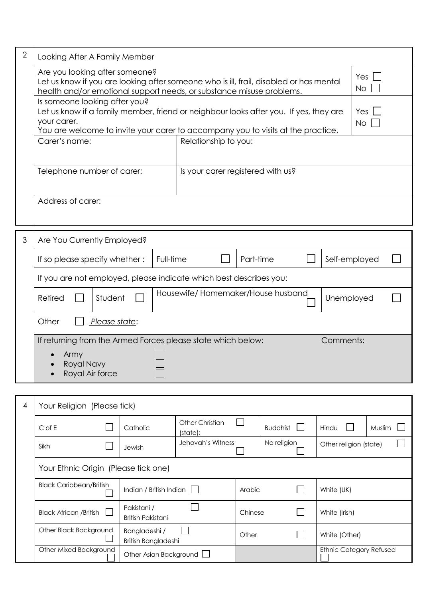| $\overline{2}$ | Looking After A Family Member                                                                                                                                                                                                                 |                                   |                                   |                            |  |  |  |  |  |
|----------------|-----------------------------------------------------------------------------------------------------------------------------------------------------------------------------------------------------------------------------------------------|-----------------------------------|-----------------------------------|----------------------------|--|--|--|--|--|
|                | Are you looking after someone?<br>Let us know if you are looking after someone who is ill, frail, disabled or has mental<br>health and/or emotional support needs, or substance misuse problems.                                              |                                   |                                   | Yes $\lfloor$<br><b>No</b> |  |  |  |  |  |
|                | Is someone looking after you?<br>Let us know if a family member, friend or neighbour looks after you. If yes, they are<br>Yes<br>your carer.<br><b>No</b><br>You are welcome to invite your carer to accompany you to visits at the practice. |                                   |                                   |                            |  |  |  |  |  |
|                | Carer's name:                                                                                                                                                                                                                                 | Relationship to you:              |                                   |                            |  |  |  |  |  |
|                | Telephone number of carer:                                                                                                                                                                                                                    |                                   | Is your carer registered with us? |                            |  |  |  |  |  |
|                | Address of carer:                                                                                                                                                                                                                             |                                   |                                   |                            |  |  |  |  |  |
| 3              | Are You Currently Employed?                                                                                                                                                                                                                   |                                   |                                   |                            |  |  |  |  |  |
|                | If so please specify whether:                                                                                                                                                                                                                 | Full-time                         | Part-time                         | Self-employed              |  |  |  |  |  |
|                | If you are not employed, please indicate which best describes you:                                                                                                                                                                            |                                   |                                   |                            |  |  |  |  |  |
|                | Retired<br>Student                                                                                                                                                                                                                            | Housewife/Homemaker/House husband |                                   | Unemployed                 |  |  |  |  |  |
|                | Other<br>Please state:                                                                                                                                                                                                                        |                                   |                                   |                            |  |  |  |  |  |
|                | If returning from the Armed Forces please state which below:                                                                                                                                                                                  |                                   |                                   | Comments:                  |  |  |  |  |  |
|                | Army<br>Royal Navy<br>Royal Air force                                                                                                                                                                                                         |                                   |                                   |                            |  |  |  |  |  |
|                |                                                                                                                                                                                                                                               |                                   |                                   |                            |  |  |  |  |  |
| 4              | Your Religion (Please tick)                                                                                                                                                                                                                   |                                   |                                   |                            |  |  |  |  |  |
|                |                                                                                                                                                                                                                                               |                                   |                                   |                            |  |  |  |  |  |

| $C$ of E                                  | Catholic                                | Other Christian<br>(state): |         | <b>Buddhist</b> | Hindu                   | Muslim |  |
|-------------------------------------------|-----------------------------------------|-----------------------------|---------|-----------------|-------------------------|--------|--|
| Sikh                                      | Jewish                                  | Jehovah's Witness           |         | No religion     | Other religion (state)  |        |  |
| Your Ethnic Origin (Please tick one)      |                                         |                             |         |                 |                         |        |  |
| <b>Black Caribbean/British</b>            | Indian / British Indian                 |                             | Arabic  |                 | White (UK)              |        |  |
| <b>Black African / British</b><br>$\perp$ | Pakistani /<br><b>British Pakistani</b> |                             | Chinese |                 | White (Irish)           |        |  |
| Other Black Background                    | Bangladeshi /<br>British Bangladeshi    |                             | Other   |                 | White (Other)           |        |  |
| Other Mixed Background                    | Other Asian Background                  |                             |         |                 | Ethnic Category Refused |        |  |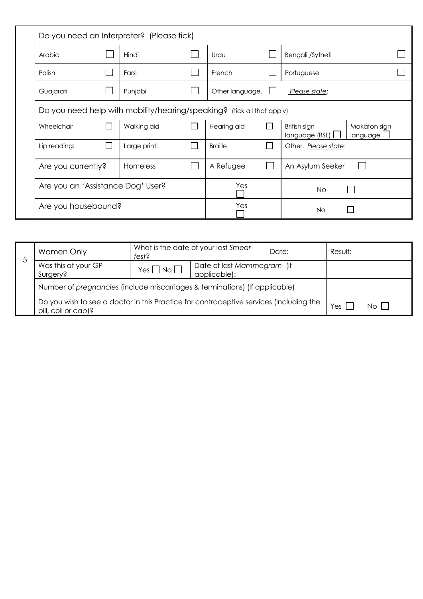| Do you need an Interpreter? (Please tick)                              |  |                 |  |                 |  |                               |                          |  |
|------------------------------------------------------------------------|--|-----------------|--|-----------------|--|-------------------------------|--------------------------|--|
| Arabic                                                                 |  | Hindi           |  | Urdu            |  | Bengali /Sytheti              |                          |  |
| Polish                                                                 |  | Farsi           |  | French          |  | Portuguese                    |                          |  |
| Guajarati                                                              |  | Punjabi         |  | Other language. |  | Please state:                 |                          |  |
| Do you need help with mobility/hearing/speaking? (tick all that apply) |  |                 |  |                 |  |                               |                          |  |
| Wheelchair                                                             |  | Walking aid     |  | Hearing aid     |  | British sign<br>language(BSL) | Makaton sign<br>language |  |
| Lip reading:                                                           |  | Large print:    |  | <b>Braille</b>  |  | Other. Please state:          |                          |  |
| Are you currently?                                                     |  | <b>Homeless</b> |  | A Refugee       |  | An Asylum Seeker              |                          |  |
| Are you an 'Assistance Dog' User?                                      |  |                 |  | Yes             |  | <b>No</b>                     |                          |  |
| Are you housebound?                                                    |  |                 |  | Yes             |  | <b>No</b>                     |                          |  |

| Women Only                                                                                                    | Date: | Result: |       |  |  |
|---------------------------------------------------------------------------------------------------------------|-------|---------|-------|--|--|
| J<br>Was this at your GP<br>Date of last Mammogram (if<br>$Yes \Box No \Box$<br>applicable):<br>Surgery?      |       |         |       |  |  |
| Number of pregnancies (include miscarriages & terminations) (If applicable)                                   |       |         |       |  |  |
| Do you wish to see a doctor in this Practice for contraceptive services (including the<br>pill, coil or cap)? |       | Yes     | No II |  |  |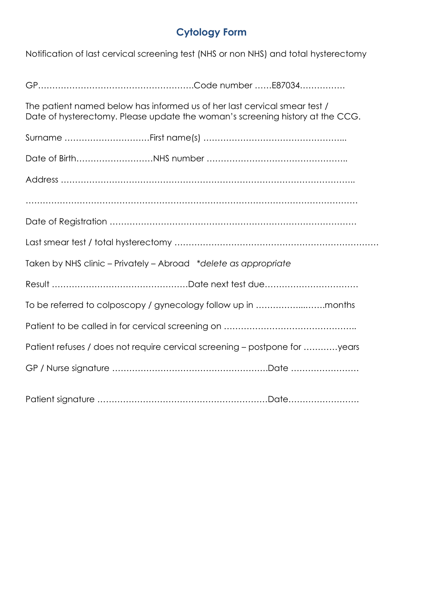# **Cytology Form**

Notification of last cervical screening test (NHS or non NHS) and total hysterectomy

| The patient named below has informed us of her last cervical smear test /<br>Date of hysterectomy. Please update the woman's screening history at the CCG. |  |
|------------------------------------------------------------------------------------------------------------------------------------------------------------|--|
|                                                                                                                                                            |  |
|                                                                                                                                                            |  |
|                                                                                                                                                            |  |
|                                                                                                                                                            |  |
|                                                                                                                                                            |  |
|                                                                                                                                                            |  |
| Taken by NHS clinic - Privately - Abroad *delete as appropriate                                                                                            |  |
|                                                                                                                                                            |  |
|                                                                                                                                                            |  |
|                                                                                                                                                            |  |
| Patient refuses / does not require cervical screening - postpone for years                                                                                 |  |
|                                                                                                                                                            |  |
|                                                                                                                                                            |  |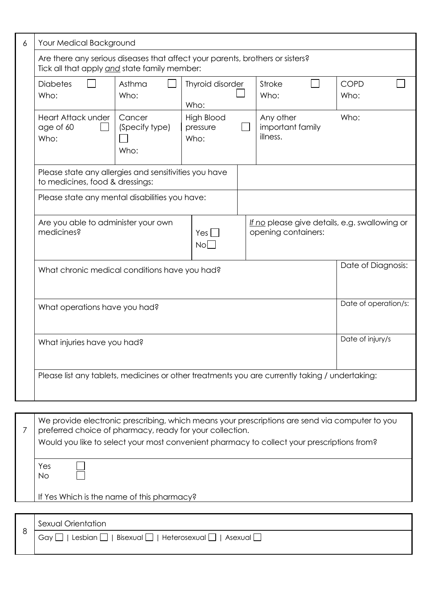| 6 | Your Medical Background                                                                                                       |                                                                     |                                       |  |                                                                                                |      |  |  |
|---|-------------------------------------------------------------------------------------------------------------------------------|---------------------------------------------------------------------|---------------------------------------|--|------------------------------------------------------------------------------------------------|------|--|--|
|   | Are there any serious diseases that affect your parents, brothers or sisters?<br>Tick all that apply and state family member: |                                                                     |                                       |  |                                                                                                |      |  |  |
|   | <b>Diabetes</b><br>Who:                                                                                                       | Asthma<br>Thyroid disorder<br><b>Stroke</b><br>Who:<br>Who:<br>Who: |                                       |  |                                                                                                |      |  |  |
|   | <b>Heart Attack under</b><br>age of 60<br>Who:                                                                                | Cancer<br>(Specify type)<br>Who:                                    | <b>High Blood</b><br>pressure<br>Who: |  | Any other<br>important family<br>illness.                                                      | Who: |  |  |
|   | Please state any allergies and sensitivities you have<br>to medicines, food & dressings:                                      |                                                                     |                                       |  |                                                                                                |      |  |  |
|   | Please state any mental disabilities you have:                                                                                |                                                                     |                                       |  |                                                                                                |      |  |  |
|   | Are you able to administer your own<br>medicines?                                                                             | If no please give details, e.g. swallowing or                       |                                       |  |                                                                                                |      |  |  |
|   | What chronic medical conditions have you had?                                                                                 | Date of Diagnosis:                                                  |                                       |  |                                                                                                |      |  |  |
|   | What operations have you had?                                                                                                 | Date of operation/s:                                                |                                       |  |                                                                                                |      |  |  |
|   | Date of injury/s<br>What injuries have you had?                                                                               |                                                                     |                                       |  |                                                                                                |      |  |  |
|   | Please list any tablets, medicines or other treatments you are currently taking / undertaking:                                |                                                                     |                                       |  |                                                                                                |      |  |  |
|   |                                                                                                                               |                                                                     |                                       |  |                                                                                                |      |  |  |
|   | preferred choice of pharmacy, ready for your collection.                                                                      |                                                                     |                                       |  | We provide electronic prescribing, which means your prescriptions are send via computer to you |      |  |  |

Would you like to select your most convenient pharmacy to collect your prescriptions from?

Yes No

 $\overline{\Box}$ 

If Yes Which is the name of this pharmacy?

| Sexual Orientation                                                     |
|------------------------------------------------------------------------|
| Lesbian $\Box$  <br>  Bisexual     Heterosexual     Asexual    <br>Gay |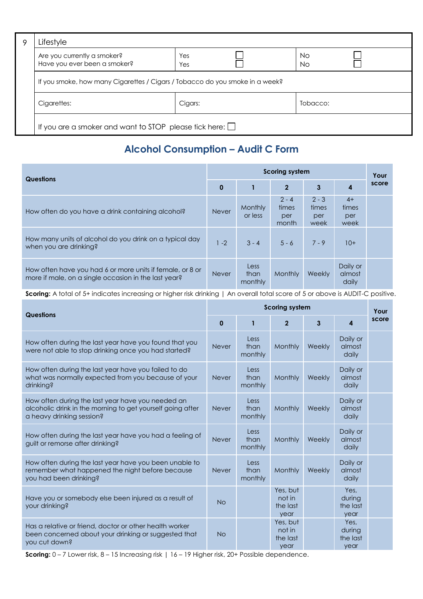| Q | Lifestyle                                                                    |            |  |          |  |  |  |  |
|---|------------------------------------------------------------------------------|------------|--|----------|--|--|--|--|
|   | Are you currently a smoker?<br>Have you ever been a smoker?                  | Yes<br>Yes |  | No<br>No |  |  |  |  |
|   | If you smoke, how many Cigarettes / Cigars / Tobacco do you smoke in a week? |            |  |          |  |  |  |  |
|   | Cigarettes:<br>Cigars:<br>Tobacco:                                           |            |  |          |  |  |  |  |
|   | If you are a smoker and want to STOP please tick here: $\Box$                |            |  |          |  |  |  |  |

# **Alcohol Consumption – Audit C Form**

| <b>Questions</b>                                                                                                  |              | <b>Scoring system</b>   |                                  |                                 |                              |       |  |
|-------------------------------------------------------------------------------------------------------------------|--------------|-------------------------|----------------------------------|---------------------------------|------------------------------|-------|--|
|                                                                                                                   | $\mathbf 0$  |                         | $\mathbf{2}$                     | $\overline{3}$                  | 4                            | score |  |
| How often do you have a drink containing alcohol?                                                                 | <b>Never</b> | Monthly<br>or less      | $2 - 4$<br>times<br>per<br>month | $2 - 3$<br>times<br>per<br>week | $4+$<br>times<br>per<br>week |       |  |
| How many units of alcohol do you drink on a typical day<br>when you are drinking?                                 | $1 - 2$      | $3 - 4$                 | $5 - 6$                          | $7 - 9$                         | $10+$                        |       |  |
| How often have you had 6 or more units if female, or 8 or<br>more if male, on a single occasion in the last year? | <b>Never</b> | Less<br>than<br>monthly | <b>Monthly</b>                   | Weekly                          | Daily or<br>almost<br>daily  |       |  |

**Scoring:** A total of 5+ indicates increasing or higher risk drinking | An overall total score of 5 or above is AUDIT-C positive.

| <b>Questions</b>                                                                                                                             |              | <b>Scoring system</b>   |                                        |               |                                    |       |  |
|----------------------------------------------------------------------------------------------------------------------------------------------|--------------|-------------------------|----------------------------------------|---------------|------------------------------------|-------|--|
|                                                                                                                                              | 0            | $\mathbf{1}$            | $\overline{2}$                         | 3             | $\boldsymbol{4}$                   | score |  |
| How often during the last year have you found that you<br>were not able to stop drinking once you had started?                               | <b>Never</b> | Less<br>than<br>monthly | Monthly                                | Weekly        | Daily or<br>almost<br>daily        |       |  |
| How often during the last year have you failed to do<br>what was normally expected from you because of your<br>drinking?                     | <b>Never</b> | Less<br>than<br>monthly | Monthly                                | Weekly        | Daily or<br>almost<br>daily        |       |  |
| How often during the last year have you needed an<br>alcoholic drink in the morning to get yourself going after<br>a heavy drinking session? | <b>Never</b> | Less<br>than<br>monthly | Monthly                                | <b>Weekly</b> | Daily or<br>almost<br>daily        |       |  |
| How often during the last year have you had a feeling of<br>guilt or remorse after drinking?                                                 | <b>Never</b> | Less<br>than<br>monthly | Monthly                                | Weekly        | Daily or<br>almost<br>daily        |       |  |
| How often during the last year have you been unable to<br>remember what happened the night before because<br>you had been drinking?          | <b>Never</b> | Less<br>than<br>monthly | Monthly                                | Weekly        | Daily or<br>almost<br>daily        |       |  |
| Have you or somebody else been injured as a result of<br>your drinking?                                                                      | <b>No</b>    |                         | Yes, but<br>not in<br>the last<br>year |               | Yes,<br>during<br>the last<br>year |       |  |
| Has a relative or friend, doctor or other health worker<br>been concerned about your drinking or suggested that<br>you cut down?             | <b>No</b>    |                         | Yes, but<br>not in<br>the last<br>year |               | Yes,<br>during<br>the last<br>year |       |  |

**Scoring:**  $0 - 7$  Lower risk,  $8 - 15$  Increasing risk | 16 - 19 Higher risk, 20+ Possible dependence.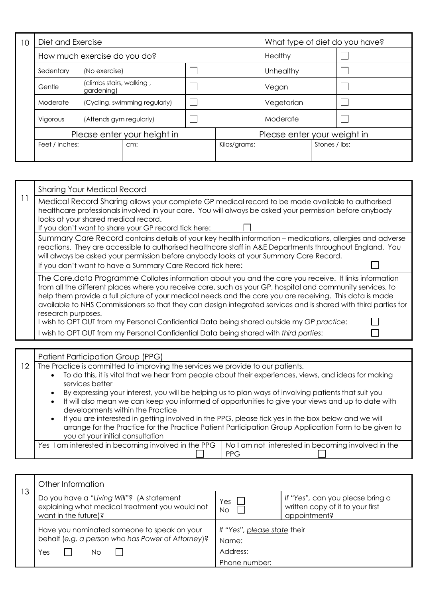| 10 | Diet and Exercise           |                                        |  |  | What type of diet do you have? |            |                             |  |
|----|-----------------------------|----------------------------------------|--|--|--------------------------------|------------|-----------------------------|--|
|    |                             | How much exercise do you do?           |  |  |                                | Healthy    |                             |  |
|    | Sedentary                   | (No exercise)                          |  |  |                                | Unhealthy  |                             |  |
|    | Gentle                      | (climbs stairs, walking,<br>gardening) |  |  |                                | Vegan      |                             |  |
|    | Moderate                    | (Cycling, swimming regularly)          |  |  |                                | Vegetarian |                             |  |
|    | Vigorous                    | (Attends gym regularly)                |  |  |                                | Moderate   |                             |  |
|    | Please enter your height in |                                        |  |  |                                |            | Please enter your weight in |  |
|    | Feet / inches:              | cm:                                    |  |  | Kilos/grams:                   |            | Stones / lbs:               |  |
|    |                             |                                        |  |  |                                |            |                             |  |

| 11 | <b>Sharing Your Medical Record</b>                                                                                                                                                                                                                                                                                                                                                                                                                                       |  |  |  |
|----|--------------------------------------------------------------------------------------------------------------------------------------------------------------------------------------------------------------------------------------------------------------------------------------------------------------------------------------------------------------------------------------------------------------------------------------------------------------------------|--|--|--|
|    | Medical Record Sharing allows your complete GP medical record to be made available to authorised<br>healthcare professionals involved in your care. You will always be asked your permission before anybody<br>looks at your shared medical record.                                                                                                                                                                                                                      |  |  |  |
|    | If you don't want to share your GP record tick here:<br>Summary Care Record contains details of your key health information – medications, allergies and adverse<br>reactions. They are accessible to authorised healthcare staff in A&E Departments throughout England. You                                                                                                                                                                                             |  |  |  |
|    | will always be asked your permission before anybody looks at your Summary Care Record.<br>If you don't want to have a Summary Care Record tick here:                                                                                                                                                                                                                                                                                                                     |  |  |  |
|    | The Care.data Programme Collates information about you and the care you receive. It links information<br>from all the different places where you receive care, such as your GP, hospital and community services, to<br>help them provide a full picture of your medical needs and the care you are receiving. This data is made<br>available to NHS Commissioners so that they can design integrated services and is shared with third parties for<br>research purposes. |  |  |  |
|    | I wish to OPT OUT from my Personal Confidential Data being shared outside my GP practice:                                                                                                                                                                                                                                                                                                                                                                                |  |  |  |
|    | I wish to OPT OUT from my Personal Confidential Data being shared with third parties:                                                                                                                                                                                                                                                                                                                                                                                    |  |  |  |
|    | Patient Participation Group (PPG)                                                                                                                                                                                                                                                                                                                                                                                                                                        |  |  |  |

12 The Practice is committed to improving the services we provide to our patients.

- To do this, it is vital that we hear from people about their experiences, views, and ideas for making services better
- By expressing your interest, you will be helping us to plan ways of involving patients that suit you
- It will also mean we can keep you informed of opportunities to give your views and up to date with developments within the Practice
- If you are interested in getting involved in the PPG, please tick yes in the box below and we will arrange for the Practice for the Practice Patient Participation Group Application Form to be given to you at your initial consultation

*Yes* I am interested in becoming involved in the PPG 1 No I am not interested in becoming involved in the

PPG

| 13 | Other Information                                                                                                    |                                                                                                    |  |  |
|----|----------------------------------------------------------------------------------------------------------------------|----------------------------------------------------------------------------------------------------|--|--|
|    | Do you have a "Living Will"? (A statement<br>explaining what medical treatment you would not<br>want in the future)? | If "Yes", can you please bring a<br>Yes<br>written copy of it to your first<br>No.<br>appointment? |  |  |
|    | Have you nominated someone to speak on your<br>behalf (e.g. a person who has Power of Attorney)?                     | If "Yes", please state their<br>Name:                                                              |  |  |
|    | Yes<br>Nο                                                                                                            | Address:<br>Phone number:                                                                          |  |  |